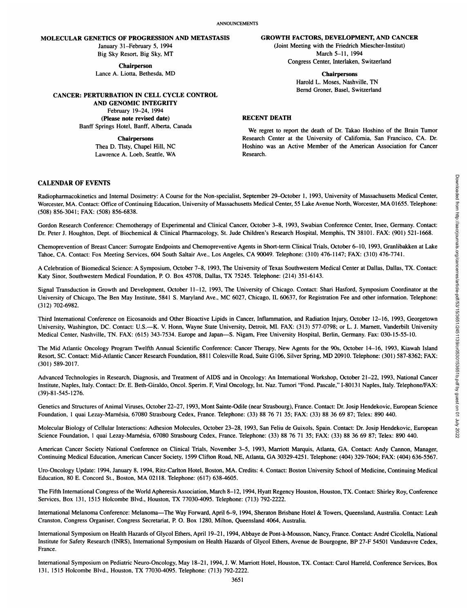# **MOLECULAR GENETICS OF PROGRESSION AND METASTASIS**

January 31-February 5,1994 Big Sky Resort, Big Sky, MT

**Chairperson** Lance A. Liotta, Bethesda, MD

**CANCER: PERTURBATION IN CELL CYCLE CONTROL**

**AND GENOMIC INTEGRITY** February 19-24, 1994 **(Please note revised date)** Banff Springs Hotel, Banff, Alberta, Canada

**Chairpersons**

Thea D. Tlsty, Chapel Hill, NC Lawrence A. Loeb, Seattle, WA

#### **GROWTH FACTORS, DEVELOPMENT, AND CANCER**

(Joint Meeting with the Friedrich Miescher-Institut) March 5-11, 1994 Congress Center, Interlaken, Switzerland

**Chairpersons**

Harold L. Moses, Nashville, TN Bernd Groner, Basel, Switzerland

#### **RECENT DEATH**

We regret to report the death of Dr. Takao Hoshino of the Brain Tumor Research Center at the University of California, San Francisco, CA. Dr. Hoshino was an Active Member of the American Association for Cancer Research.

### **CALENDAR OF EVENTS**

Radiopharmacokinetics and Internal Dosimetry: A Course for the Non-specialist, September 29-October 1, 1993, University of Massachusetts Medical Center, Worcester, MA. Contact: Office of Continuing Education, University of Massachusetts Medical Center, 55 Lake Avenue North, Worcester, MA 01655. Telephone: (508) 856-3041; FAX: (508) 856-6838.

Gordon Research Conference: Chemotherapy of Experimental and Clinical Cancer, October 3-8, 1993. Swabian Conference Center, Irsee, Germany. Contact: Dr. Peter J. Houghton, Dept. of Biochemical & Clinical Pharmacology, St. Jude Children's Research Hospital, Memphis, TN 38101. FAX: (901) 521-1668.

Tahoe. CA. Contact: Fox Meeting Services, 604 South Saltair Ave.. Los Angeles, CA 90049. Telephone: (310) 476-1147; FAX: (310) 476-7741.

A Celebration of Biomedicai Science: A Symposium, October 7-8, 1993, The University of Texas Southwestern Medical Center at Dallas, Dallas, TX. Contact: Katy Sinor, Southwestern Medical Foundation, P. O. Box 45708, Dallas, TX 75245. Telephone: (214) 351-6143.

Signal Transduction in Growth and Development, October 11-12, 1993, The University of Chicago. Contact: Shari Hasford, Symposium Coordinator at the University of Chicago. The Ben May Institute, 5841 S. Maryland Ave.. MC 6027, Chicago, IL 60637. for Registration Fee and other information. Telephone: (312) 702-6982.

Third International Conference on Eicosanoids and Other Bioactive Lipids in Cancer, Inflammation, and Radiation Injury, October 12-16, 1993. Georgetown University, Washington, DC. Contact: U.S.—K. V. Honn. Wayne State University, Detroit, MI. FAX: (313) 577-0798; or L. J. Marnett, Vanderbilt University Medical Center, Nashville, TN. FAX: (615) 343-7534. Europe and Japan—S. Nigam, Free University Hospital, Berlin, Germany. Fax: 030-15-55-10.

CALENDAR OF EVENTS<br>
Radiopharmeoidistics and Internal Desirency: A Course for the Nun-specialist, September 20-October 1, 1993, University of Maxachuattis Media Course. NA Constant Media Constant Course.<br>
Volcester, NA Co The Mid Atlantic Oncology Program Twelfth Annual Scientific Conference: Cancer Therapy, New Agents for the 90s, October 14-16, 1993. Kiawah Island Resort, SC. Contact: Mid-Atlantic Cancer Research Foundation, 8811 Colesville Road, Suite G106, Silver Spring. MD 20910. Telephone: (301) 587-8362; FAX: (301) 589-2017.

Advanced Technologies in Research. Diagnosis, and Treatment of AIDS and in Oncology: An International Workshop. October 21-22, 1993, National Cancer Institute, Naples. Italy. Contact: Dr. E. Beth-Giraldo, Oncol. Sperim. F, Viral Oncology, 1st. Naz. Tumori "Fond. Pascale," 1-80131 Naples, Italy. Telephone/FAX: (39)-81-545-1276.

Genetics and Structures of Animal Viruses, October 22-27, 1993, Mont Sainte-Odile (near Strasbourg), France. Contact: Dr. Josip Hendekovic, European Science Foundation, 1 quai Lezay-Marnésia, 67080 Strasbourg Cedex, France. Telephone: (33) 88 76 71 35; FAX: (33) 88 36 69 87; Telex: 890 440.

Molecular Biology of Cellular Interactions: Adhesion Molecules, October 23-28, 1993, San Feliu de Guixols, Spain. Contact: Dr. Josip Hendekovic, European Science Foundation, 1 quai Lezay-Marnésia, 67080 Strasbourg Cedex, France. Telephone: (33) 88 76 71 35; FAX: (33) 88 36 69 87; Telex: 890 440.

American Cancer Society National Conference on Clinical Trials, November 3-5, 1993, Marriott Marquis, Atlanta, GA. Contact: Andy Cannon, Manager. Continuing Medical Education, American Cancer Society, 1599 Clifton Road, NE, Atlanta, GA 30329-4251. Telephone: (404) 329-7604; FAX: (404) 636-5567.

Uro-Oncology Update: 1994, January 8. 1994, Ritz-Carlton Hotel, Boston, MA. Credits: 4. Contact: Boston University School of Medicine, Continuing Medical Education, 80 E. Concord St., Boston, MA 02118. Telephone: (617) 638-4605.

The Fifth International Congress of the World Apheresis Association, March 8-12, 1994. Hyatt Regency Houston, Houston, TX. Contact: Shirley Roy, Conference Services, Box 131. 1515 Holcombe Blvd., Houston, TX 77030-4095. Telephone: (713) 792-2222.

International Melanoma Conference: Melanoma—The Way Forward, April 6-9. 1994, Sheraton Brisbane Hotel & Towers, Queensland, Australia. Contact: Leah Cranston. Congress Organiser, Congress Secretariat, P. O. Box 1280, Milton, Queensland 4064, Australia.

International Symposium on Health Hazards of Glycol Ethers, April 19-21, 1994, Abbaye de Pont-à-Mousson, Nancy, France. Contact: André Cicolella, National Institute for Safety Research (INRS), International Symposium on Health Hazards of Glycol Ethers, Avenue de Bourgogne, BP 27-F 54501 Vandœuvre Cedex, France.

International Symposium on Pediatric Neuro-Oncology, May 18-21, 1994, J. W. Marriott Hotel, Houston, TX. Contact: Carol Harreld, Conference Services, Box 131, 1515 Holcombe Blvd., Houston, TX 77030-4095. Telephone: (713) 792-2222.